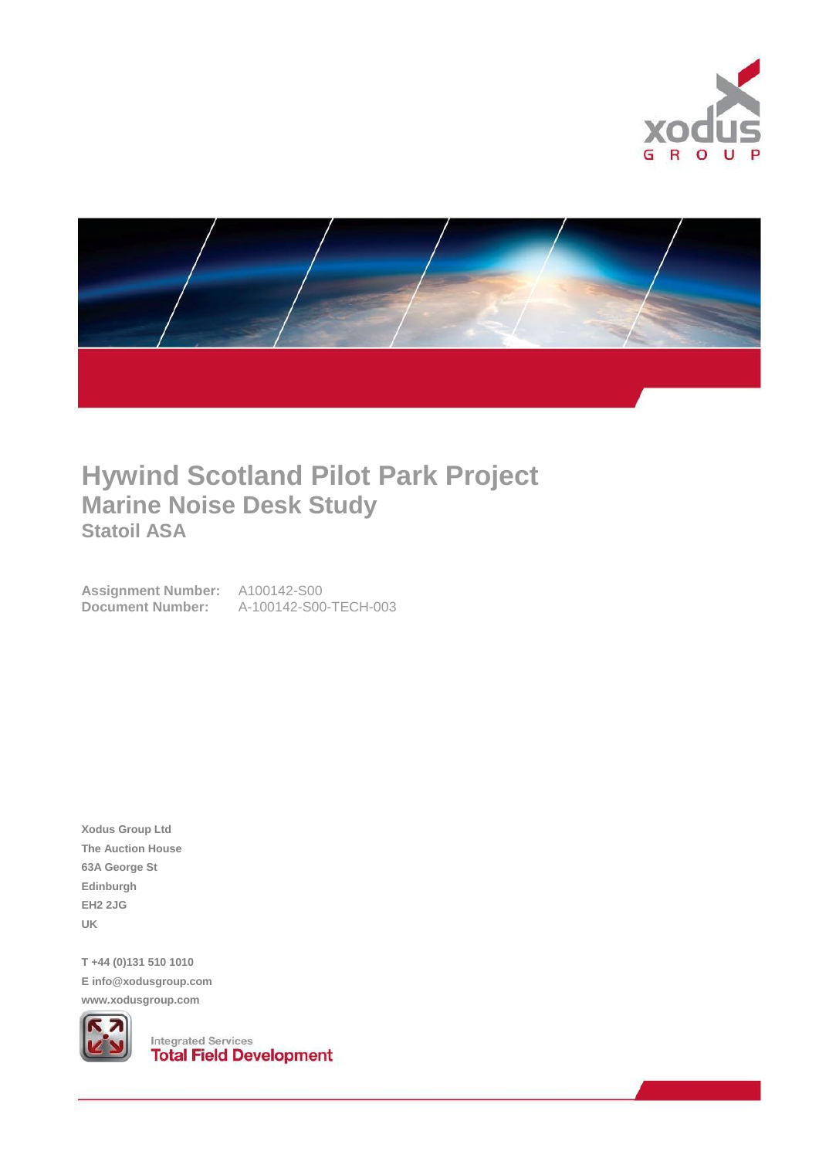



# **Hywind Scotland Pilot Park Project Marine Noise Desk Study Statoil ASA**

**Assignment Number:** A100142-S00 **Document Number:** A-100142-S00-TECH-003

**Xodus Group Ltd The Auction House 63A George St Edinburgh EH2 2JG UK**

**T +44 (0)131 510 1010 E info@xodusgroup.com www.xodusgroup.com**



**Integrated Services**<br>**Total Field Development**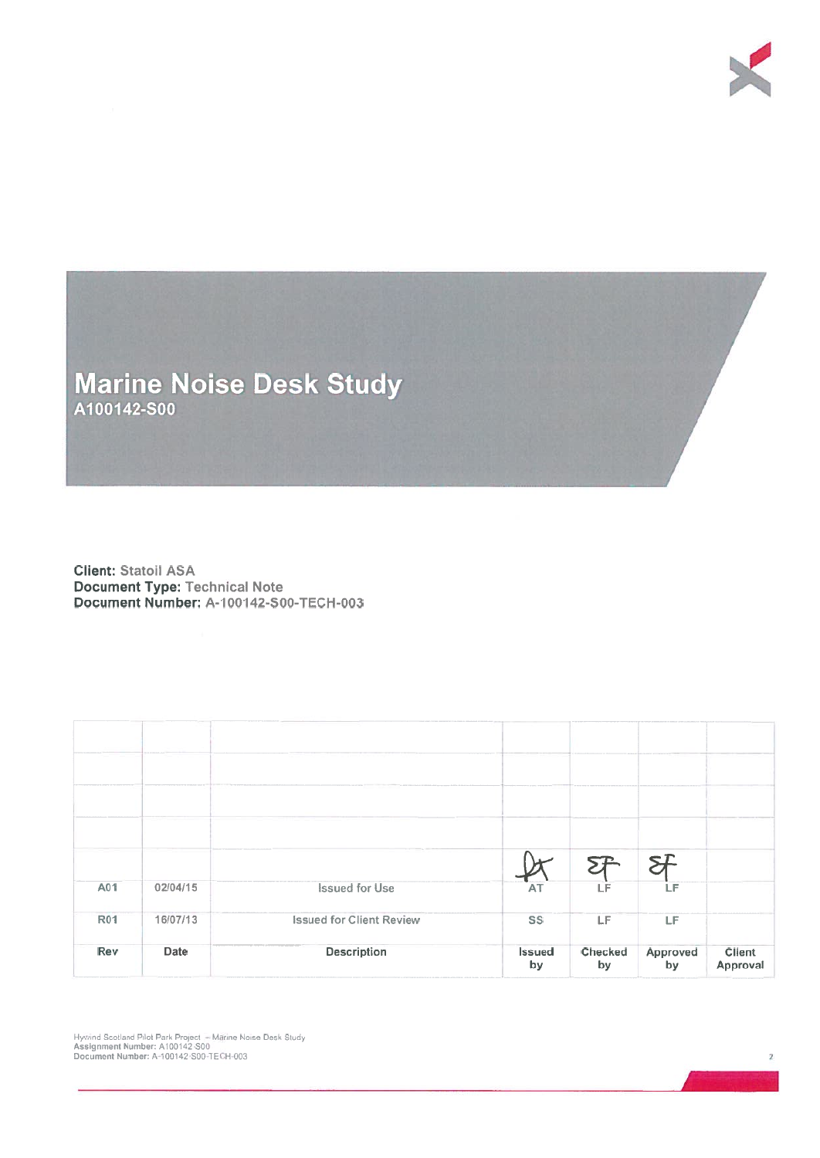



**Client: Statoil ASA** Document Type: Technical Note<br>Document Number: A-100142-S00-TECH-003

|            |          |                                 |                     |                      | 5F             |                           |
|------------|----------|---------------------------------|---------------------|----------------------|----------------|---------------------------|
| A01        | 02/04/15 | <b>Issued for Use</b>           | <b>AT</b>           | LF                   | LF             |                           |
| <b>R01</b> | 16/07/13 | <b>Issued for Client Review</b> | <b>SS</b>           | LF                   | LF             |                           |
| Rev        | Date     | <b>Description</b>              | <b>Issued</b><br>by | <b>Checked</b><br>by | Approved<br>by | <b>Client</b><br>Approval |

Hywind Scotland Pilot Park Project – Marine Noise Desk Study<br>Assignment Number: A100142-S00<br>Document Number: A-100142-S00-TECH-003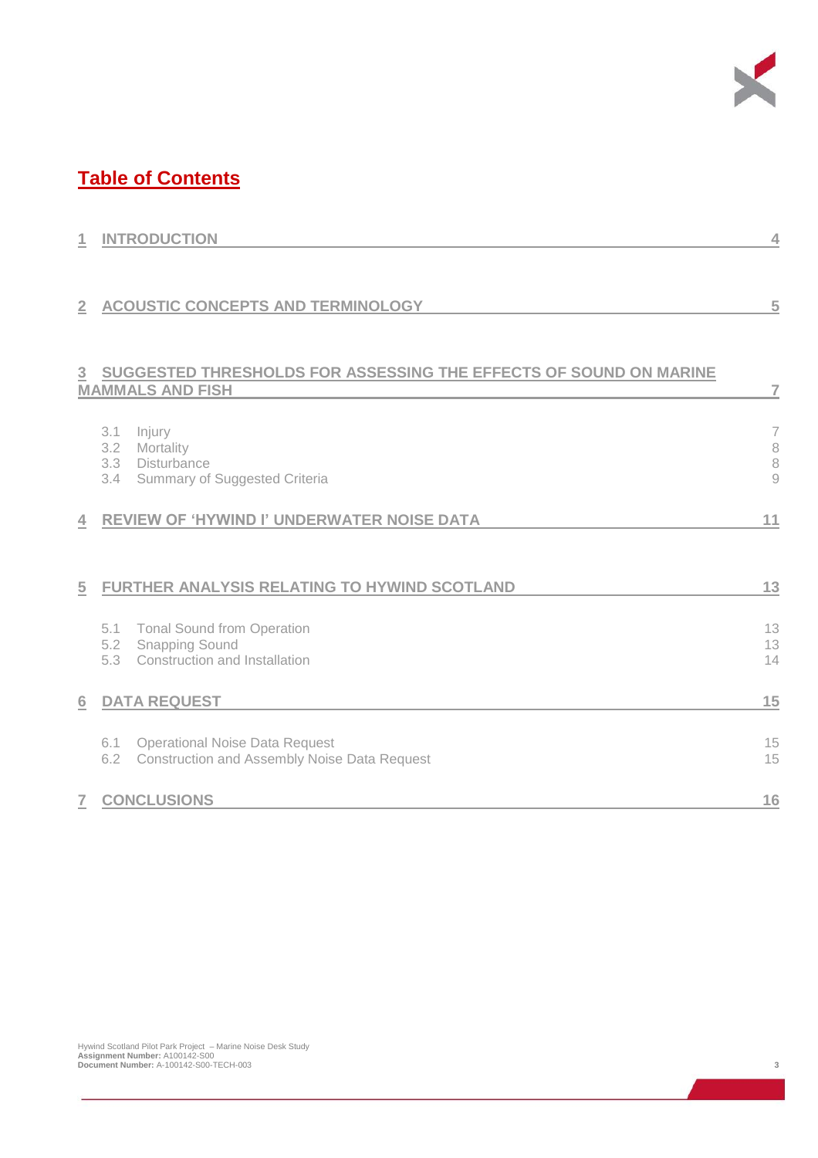

# **Table of Contents**

|                | <b>INTRODUCTION</b>                                                                                 | 4                                         |
|----------------|-----------------------------------------------------------------------------------------------------|-------------------------------------------|
| $\overline{2}$ | <b>ACOUSTIC CONCEPTS AND TERMINOLOGY</b>                                                            | 5                                         |
| 3              | SUGGESTED THRESHOLDS FOR ASSESSING THE EFFECTS OF SOUND ON MARINE<br><b>MAMMALS AND FISH</b>        | $\overline{7}$                            |
|                | 3.1<br>Injury<br>3.2<br>Mortality<br>3.3<br>Disturbance<br>3.4 Summary of Suggested Criteria        | $\overline{7}$<br>8<br>8<br>$\mathcal{G}$ |
| $\overline{4}$ | <b>REVIEW OF 'HYWIND I' UNDERWATER NOISE DATA</b>                                                   | 11                                        |
| 5              | FURTHER ANALYSIS RELATING TO HYWIND SCOTLAND                                                        | 13                                        |
|                | <b>Tonal Sound from Operation</b><br>5.1<br>5.2 Snapping Sound<br>5.3 Construction and Installation | 13<br>13<br>14                            |
| 6              | <b>DATA REQUEST</b>                                                                                 | 15                                        |
|                | <b>Operational Noise Data Request</b><br>6.1<br>6.2 Construction and Assembly Noise Data Request    | 15<br>15                                  |
| $\overline{7}$ | <b>CONCLUSIONS</b>                                                                                  | 16                                        |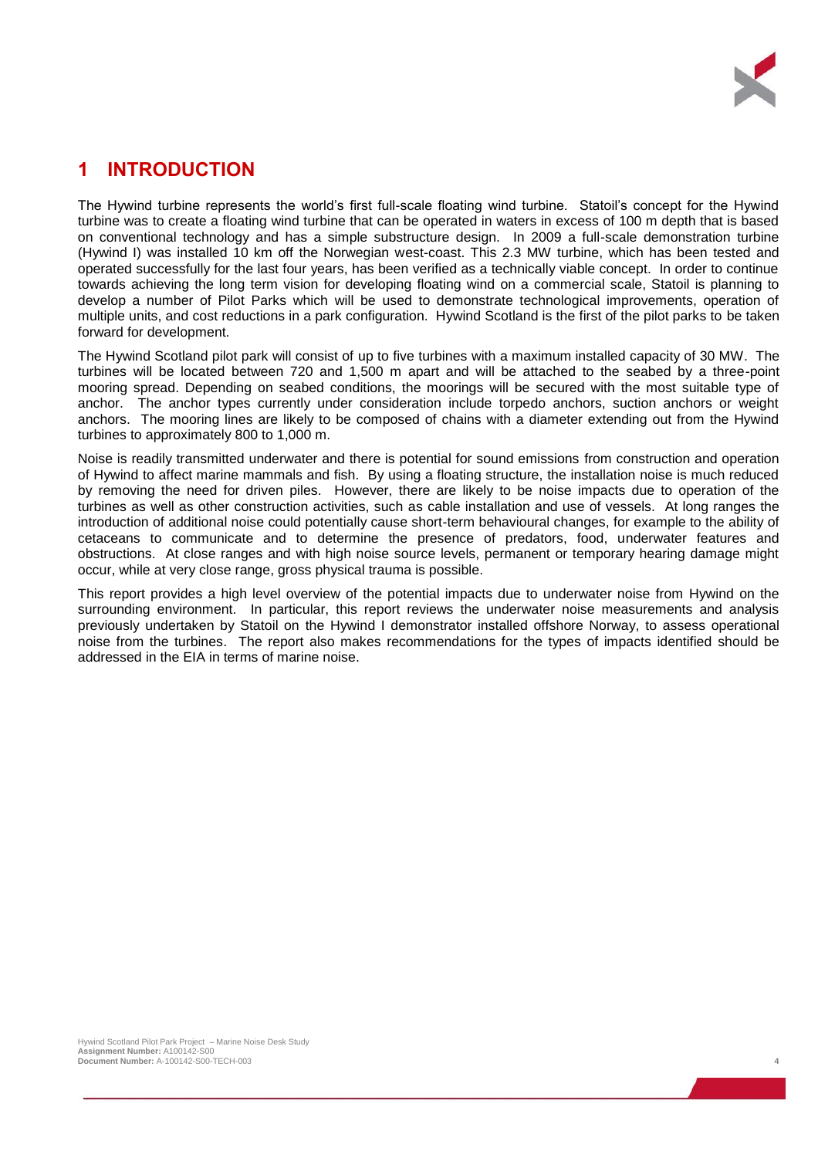

## **1 INTRODUCTION**

The Hywind turbine represents the world's first full-scale floating wind turbine. Statoil's concept for the Hywind turbine was to create a floating wind turbine that can be operated in waters in excess of 100 m depth that is based on conventional technology and has a simple substructure design. In 2009 a full-scale demonstration turbine (Hywind I) was installed 10 km off the Norwegian west-coast. This 2.3 MW turbine, which has been tested and operated successfully for the last four years, has been verified as a technically viable concept. In order to continue towards achieving the long term vision for developing floating wind on a commercial scale, Statoil is planning to develop a number of Pilot Parks which will be used to demonstrate technological improvements, operation of multiple units, and cost reductions in a park configuration. Hywind Scotland is the first of the pilot parks to be taken forward for development.

The Hywind Scotland pilot park will consist of up to five turbines with a maximum installed capacity of 30 MW. The turbines will be located between 720 and 1,500 m apart and will be attached to the seabed by a three-point mooring spread. Depending on seabed conditions, the moorings will be secured with the most suitable type of anchor. The anchor types currently under consideration include torpedo anchors, suction anchors or weight anchors. The mooring lines are likely to be composed of chains with a diameter extending out from the Hywind turbines to approximately 800 to 1,000 m.

Noise is readily transmitted underwater and there is potential for sound emissions from construction and operation of Hywind to affect marine mammals and fish. By using a floating structure, the installation noise is much reduced by removing the need for driven piles. However, there are likely to be noise impacts due to operation of the turbines as well as other construction activities, such as cable installation and use of vessels. At long ranges the introduction of additional noise could potentially cause short-term behavioural changes, for example to the ability of cetaceans to communicate and to determine the presence of predators, food, underwater features and obstructions. At close ranges and with high noise source levels, permanent or temporary hearing damage might occur, while at very close range, gross physical trauma is possible.

This report provides a high level overview of the potential impacts due to underwater noise from Hywind on the surrounding environment. In particular, this report reviews the underwater noise measurements and analysis previously undertaken by Statoil on the Hywind I demonstrator installed offshore Norway, to assess operational noise from the turbines. The report also makes recommendations for the types of impacts identified should be addressed in the EIA in terms of marine noise.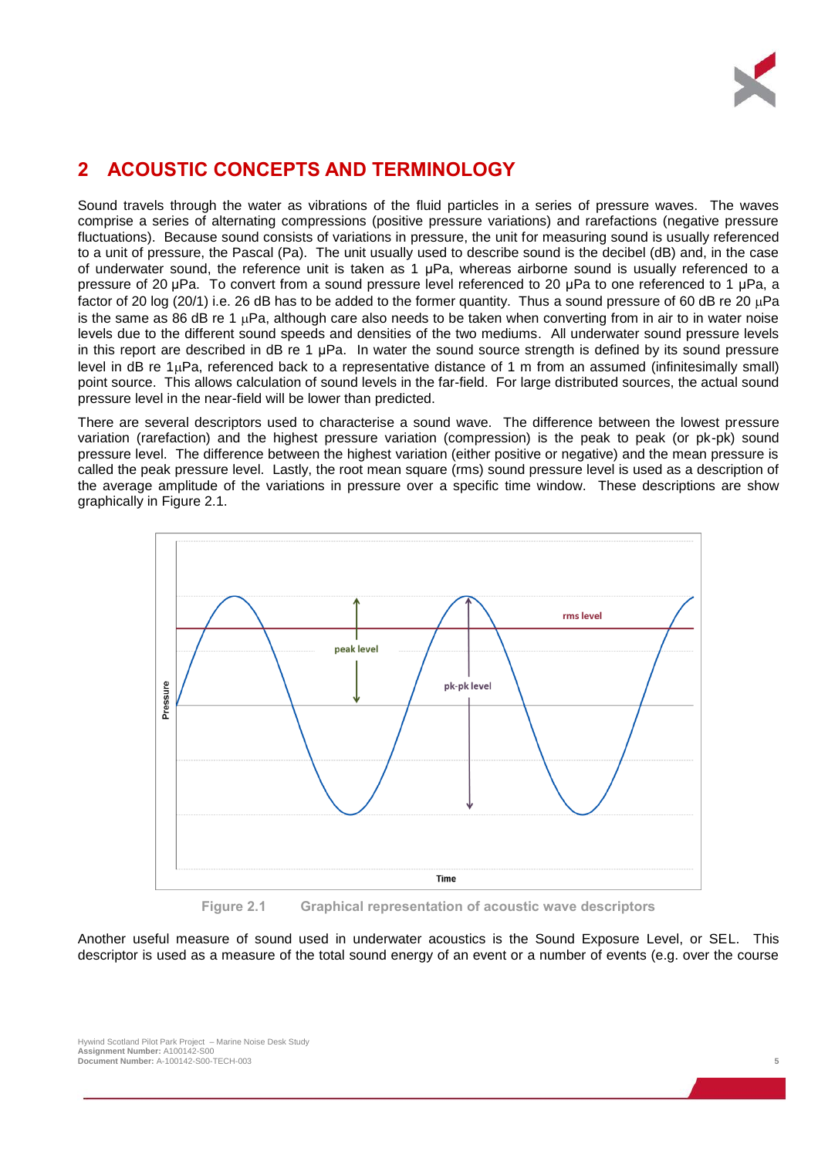

## **2 ACOUSTIC CONCEPTS AND TERMINOLOGY**

Sound travels through the water as vibrations of the fluid particles in a series of pressure waves. The waves comprise a series of alternating compressions (positive pressure variations) and rarefactions (negative pressure fluctuations). Because sound consists of variations in pressure, the unit for measuring sound is usually referenced to a unit of pressure, the Pascal (Pa). The unit usually used to describe sound is the decibel (dB) and, in the case of underwater sound, the reference unit is taken as 1 μPa, whereas airborne sound is usually referenced to a pressure of 20 μPa. To convert from a sound pressure level referenced to 20 μPa to one referenced to 1 μPa, a factor of 20 log (20/1) i.e. 26 dB has to be added to the former quantity. Thus a sound pressure of 60 dB re 20  $\mu$ Pa is the same as 86 dB re 1  $\mu$ Pa, although care also needs to be taken when converting from in air to in water noise levels due to the different sound speeds and densities of the two mediums. All underwater sound pressure levels in this report are described in dB re 1 μPa. In water the sound source strength is defined by its sound pressure level in dB re  $1\mu$ Pa, referenced back to a representative distance of 1 m from an assumed (infinitesimally small) point source. This allows calculation of sound levels in the far-field. For large distributed sources, the actual sound pressure level in the near-field will be lower than predicted.

There are several descriptors used to characterise a sound wave. The difference between the lowest pressure variation (rarefaction) and the highest pressure variation (compression) is the peak to peak (or pk-pk) sound pressure level. The difference between the highest variation (either positive or negative) and the mean pressure is called the peak pressure level. Lastly, the root mean square (rms) sound pressure level is used as a description of the average amplitude of the variations in pressure over a specific time window. These descriptions are show graphically in [Figure 2.1.](#page-4-0)



**Figure 2.1 Graphical representation of acoustic wave descriptors**

<span id="page-4-0"></span>Another useful measure of sound used in underwater acoustics is the Sound Exposure Level, or SEL. This descriptor is used as a measure of the total sound energy of an event or a number of events (e.g. over the course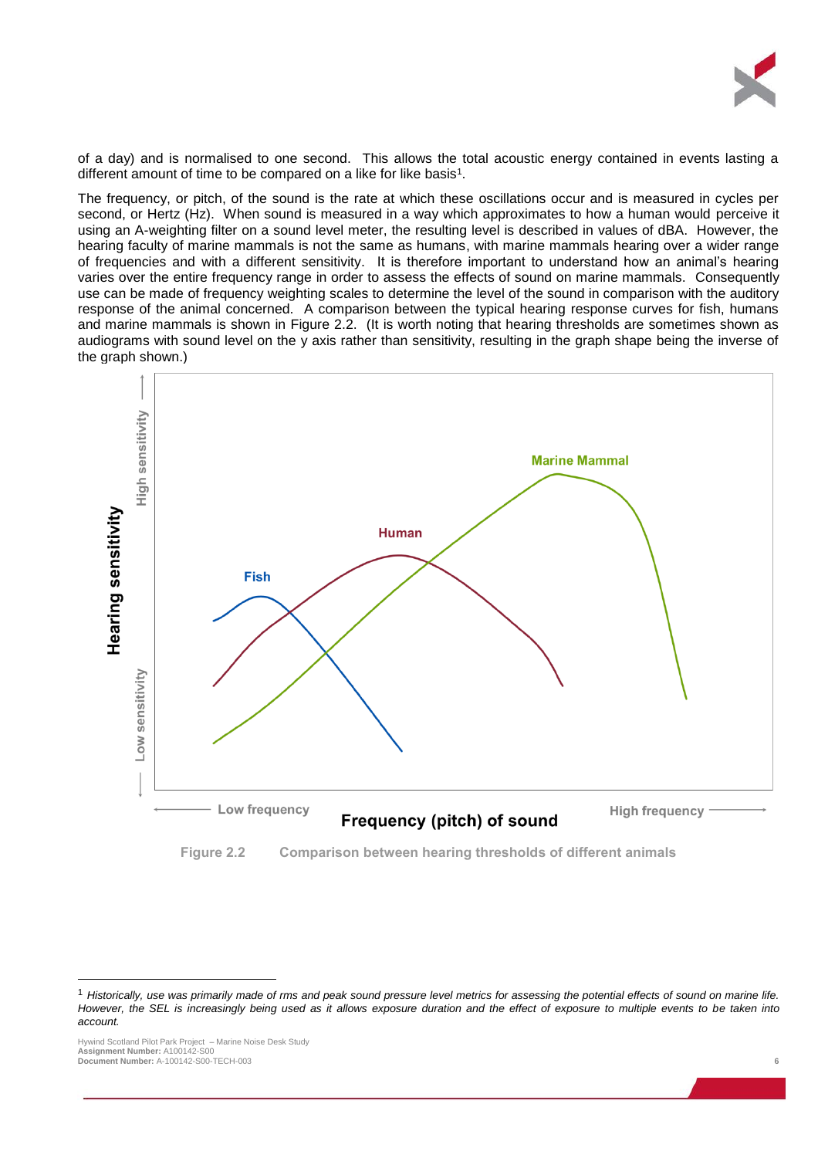

of a day) and is normalised to one second. This allows the total acoustic energy contained in events lasting a different amount of time to be compared on a like for like basis $^{\rm 1}.$ 

The frequency, or pitch, of the sound is the rate at which these oscillations occur and is measured in cycles per second, or Hertz (Hz). When sound is measured in a way which approximates to how a human would perceive it using an A-weighting filter on a sound level meter, the resulting level is described in values of dBA. However, the hearing faculty of marine mammals is not the same as humans, with marine mammals hearing over a wider range of frequencies and with a different sensitivity. It is therefore important to understand how an animal's hearing varies over the entire frequency range in order to assess the effects of sound on marine mammals. Consequently use can be made of frequency weighting scales to determine the level of the sound in comparison with the auditory response of the animal concerned. A comparison between the typical hearing response curves for fish, humans and marine mammals is shown in [Figure 2.2.](#page-5-0) (It is worth noting that hearing thresholds are sometimes shown as audiograms with sound level on the y axis rather than sensitivity, resulting in the graph shape being the inverse of the graph shown.)



<span id="page-5-0"></span>**Figure 2.2 Comparison between hearing thresholds of different animals**

Hywind Scotland Pilot Park Project – Marine Noise Desk Study **Assignment Number:** A100142-S00 **Document Number:** A-100142-S00-TECH-003 **6**

 $\overline{a}$ 

<sup>1</sup> *Historically, use was primarily made of rms and peak sound pressure level metrics for assessing the potential effects of sound on marine life. However, the SEL is increasingly being used as it allows exposure duration and the effect of exposure to multiple events to be taken into account.*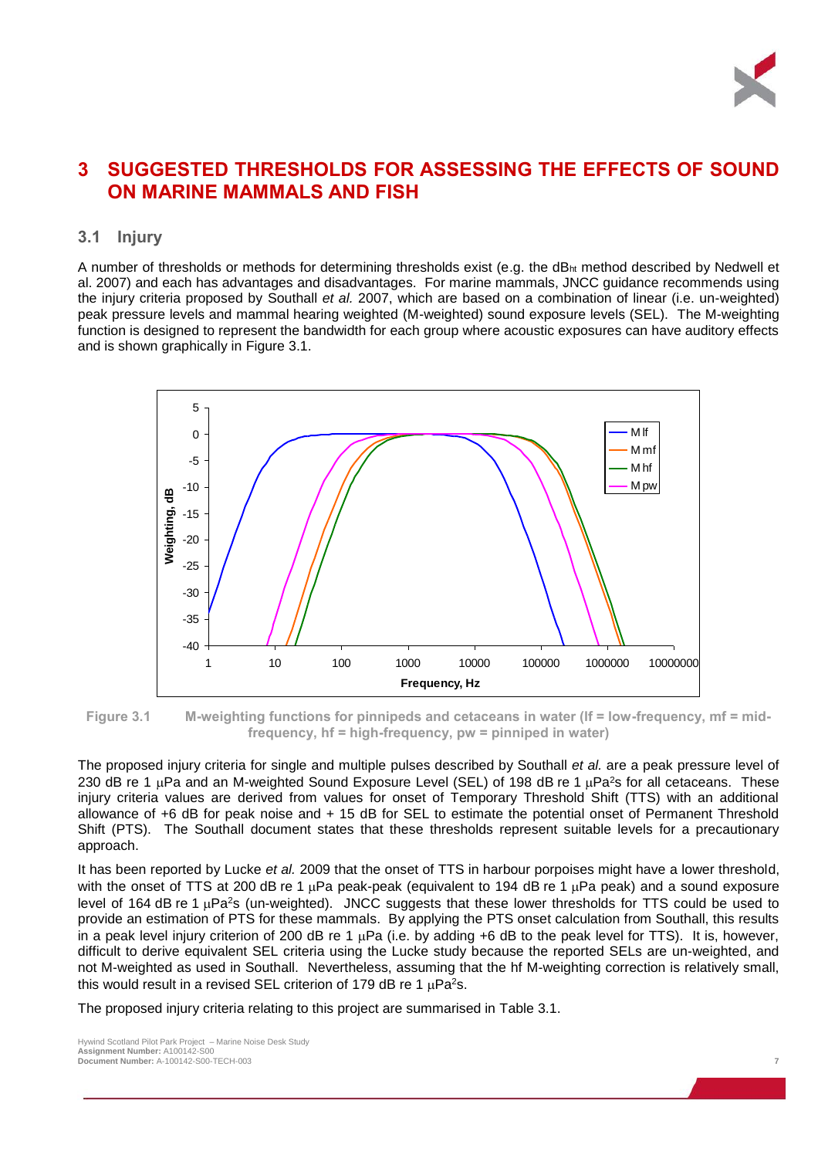

### **3 SUGGESTED THRESHOLDS FOR ASSESSING THE EFFECTS OF SOUND ON MARINE MAMMALS AND FISH**

### **3.1 Injury**

A number of thresholds or methods for determining thresholds exist (e.g. the dB<sub>ht</sub> method described by Nedwell et al. 2007) and each has advantages and disadvantages. For marine mammals, JNCC guidance recommends using the injury criteria proposed by Southall *et al.* 2007, which are based on a combination of linear (i.e. un-weighted) peak pressure levels and mammal hearing weighted (M-weighted) sound exposure levels (SEL). The M-weighting function is designed to represent the bandwidth for each group where acoustic exposures can have auditory effects and is shown graphically in [Figure 3.1.](#page-6-0)



<span id="page-6-0"></span>**Figure 3.1 M-weighting functions for pinnipeds and cetaceans in water (lf = low-frequency, mf = midfrequency, hf = high-frequency, pw = pinniped in water)**

The proposed injury criteria for single and multiple pulses described by Southall *et al.* are a peak pressure level of 230 dB re 1  $\mu$ Pa and an M-weighted Sound Exposure Level (SEL) of 198 dB re 1  $\mu$ Pa<sup>2</sup>s for all cetaceans. These injury criteria values are derived from values for onset of Temporary Threshold Shift (TTS) with an additional allowance of +6 dB for peak noise and + 15 dB for SEL to estimate the potential onset of Permanent Threshold Shift (PTS). The Southall document states that these thresholds represent suitable levels for a precautionary approach.

It has been reported by Lucke *et al.* 2009 that the onset of TTS in harbour porpoises might have a lower threshold, with the onset of TTS at 200 dB re 1  $\mu$ Pa peak-peak (equivalent to 194 dB re 1  $\mu$ Pa peak) and a sound exposure level of 164 dB re 1  $\mu$ Pa<sup>2</sup>s (un-weighted). JNCC suggests that these lower thresholds for TTS could be used to provide an estimation of PTS for these mammals. By applying the PTS onset calculation from Southall, this results in a peak level injury criterion of 200 dB re 1  $\mu$ Pa (i.e. by adding +6 dB to the peak level for TTS). It is, however, difficult to derive equivalent SEL criteria using the Lucke study because the reported SELs are un-weighted, and not M-weighted as used in Southall. Nevertheless, assuming that the hf M-weighting correction is relatively small, this would result in a revised SEL criterion of 179 dB re 1  $\mu$ Pa<sup>2</sup>s.

The proposed injury criteria relating to this project are summarised in [Table 3.1.](#page-7-0)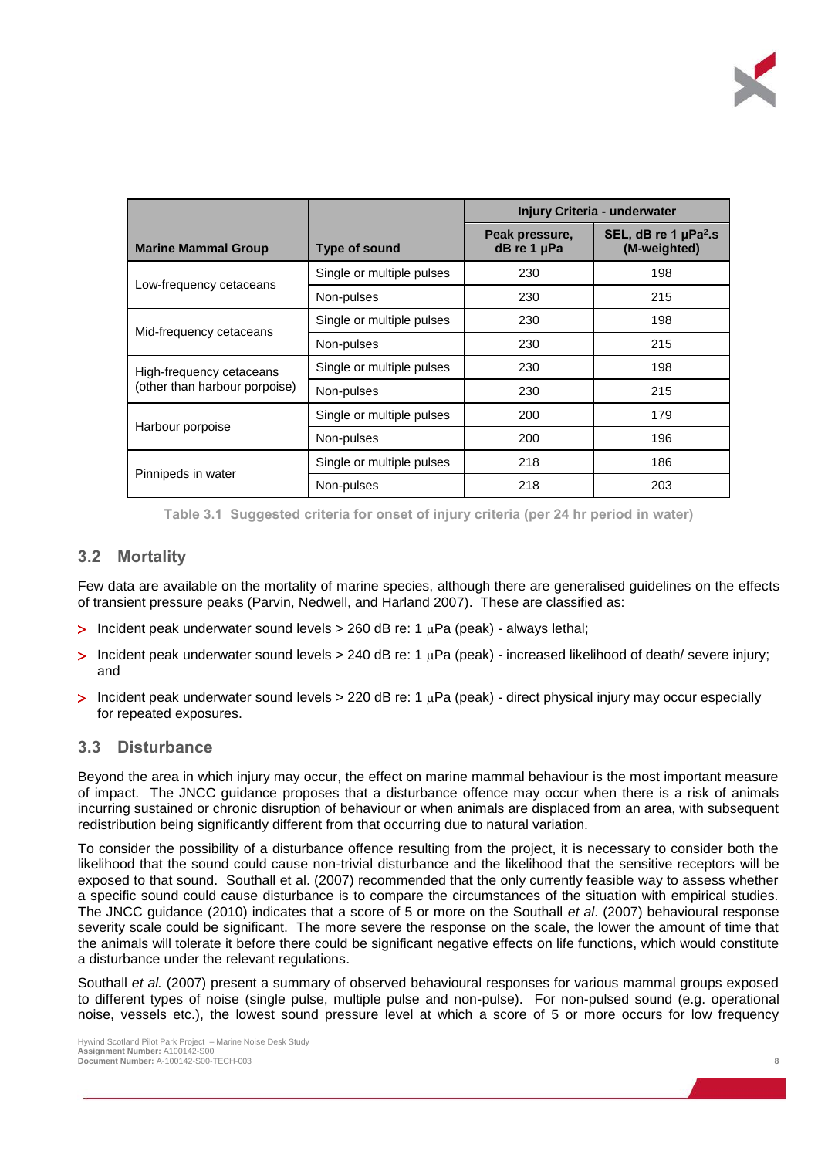

|                               |                           | Injury Criteria - underwater  |                                                         |
|-------------------------------|---------------------------|-------------------------------|---------------------------------------------------------|
| <b>Marine Mammal Group</b>    | Type of sound             | Peak pressure,<br>dB re 1 µPa | SEL, $dB$ re 1 $\mu$ Pa <sup>2</sup> .s<br>(M-weighted) |
|                               | Single or multiple pulses | 230                           | 198                                                     |
| Low-frequency cetaceans       | Non-pulses                | 230                           | 215                                                     |
|                               | Single or multiple pulses | 230                           | 198                                                     |
| Mid-frequency cetaceans       | Non-pulses                | 230                           | 215                                                     |
| High-frequency cetaceans      | Single or multiple pulses | 230                           | 198                                                     |
| (other than harbour porpoise) | Non-pulses                | 230                           | 215                                                     |
|                               | Single or multiple pulses | 200                           | 179                                                     |
| Harbour porpoise              | Non-pulses                | 200                           | 196                                                     |
|                               | Single or multiple pulses | 218                           | 186                                                     |
| Pinnipeds in water            | Non-pulses                | 218                           | 203                                                     |

**Table 3.1 Suggested criteria for onset of injury criteria (per 24 hr period in water)**

#### <span id="page-7-0"></span>**3.2 Mortality**

Few data are available on the mortality of marine species, although there are generalised guidelines on the effects of transient pressure peaks (Parvin, Nedwell, and Harland 2007). These are classified as:

- $>$  Incident peak underwater sound levels  $>$  260 dB re: 1  $\mu$ Pa (peak) always lethal;
- Incident peak underwater sound levels  $> 240$  dB re: 1  $\mu$ Pa (peak) increased likelihood of death/ severe injury; and
- $>$  Incident peak underwater sound levels  $>$  220 dB re: 1  $\mu$ Pa (peak) direct physical injury may occur especially for repeated exposures.

### **3.3 Disturbance**

Beyond the area in which injury may occur, the effect on marine mammal behaviour is the most important measure of impact. The JNCC guidance proposes that a disturbance offence may occur when there is a risk of animals incurring sustained or chronic disruption of behaviour or when animals are displaced from an area, with subsequent redistribution being significantly different from that occurring due to natural variation.

To consider the possibility of a disturbance offence resulting from the project, it is necessary to consider both the likelihood that the sound could cause non-trivial disturbance and the likelihood that the sensitive receptors will be exposed to that sound. Southall et al. (2007) recommended that the only currently feasible way to assess whether a specific sound could cause disturbance is to compare the circumstances of the situation with empirical studies. The JNCC guidance (2010) indicates that a score of 5 or more on the Southall *et al*. (2007) behavioural response severity scale could be significant. The more severe the response on the scale, the lower the amount of time that the animals will tolerate it before there could be significant negative effects on life functions, which would constitute a disturbance under the relevant regulations.

Southall *et al.* (2007) present a summary of observed behavioural responses for various mammal groups exposed to different types of noise (single pulse, multiple pulse and non-pulse). For non-pulsed sound (e.g. operational noise, vessels etc.), the lowest sound pressure level at which a score of 5 or more occurs for low frequency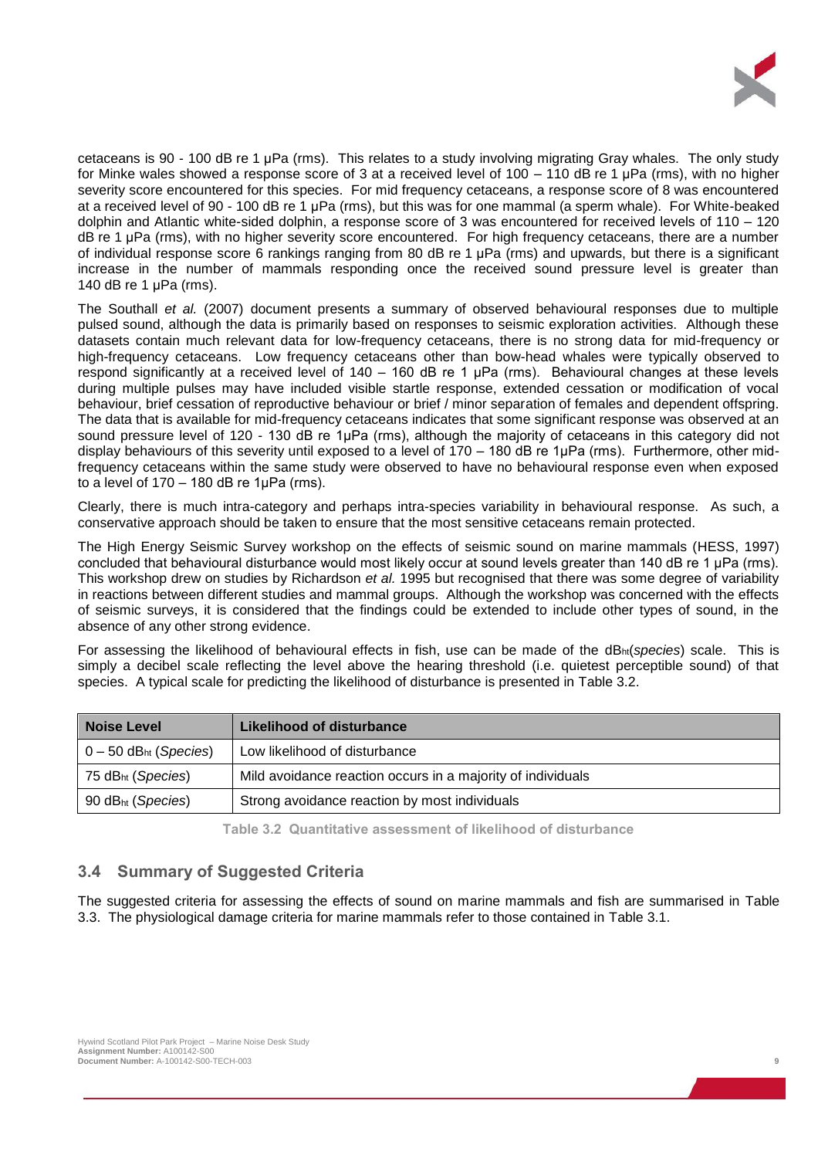

cetaceans is 90 - 100 dB re 1 μPa (rms). This relates to a study involving migrating Gray whales. The only study for Minke wales showed a response score of 3 at a received level of 100 – 110 dB re 1 µPa (rms), with no higher severity score encountered for this species. For mid frequency cetaceans, a response score of 8 was encountered at a received level of 90 - 100 dB re 1 μPa (rms), but this was for one mammal (a sperm whale). For White-beaked dolphin and Atlantic white-sided dolphin, a response score of 3 was encountered for received levels of 110 – 120 dB re 1 μPa (rms), with no higher severity score encountered. For high frequency cetaceans, there are a number of individual response score 6 rankings ranging from 80 dB re 1 μPa (rms) and upwards, but there is a significant increase in the number of mammals responding once the received sound pressure level is greater than 140 dB re 1 μPa (rms).

The Southall *et al.* (2007) document presents a summary of observed behavioural responses due to multiple pulsed sound, although the data is primarily based on responses to seismic exploration activities. Although these datasets contain much relevant data for low-frequency cetaceans, there is no strong data for mid-frequency or high-frequency cetaceans. Low frequency cetaceans other than bow-head whales were typically observed to respond significantly at a received level of 140 – 160 dB re 1 μPa (rms). Behavioural changes at these levels during multiple pulses may have included visible startle response, extended cessation or modification of vocal behaviour, brief cessation of reproductive behaviour or brief / minor separation of females and dependent offspring. The data that is available for mid-frequency cetaceans indicates that some significant response was observed at an sound pressure level of 120 - 130 dB re 1µPa (rms), although the majority of cetaceans in this category did not display behaviours of this severity until exposed to a level of 170 – 180 dB re 1µPa (rms). Furthermore, other midfrequency cetaceans within the same study were observed to have no behavioural response even when exposed to a level of  $170 - 180$  dB re  $1\mu$ Pa (rms).

Clearly, there is much intra-category and perhaps intra-species variability in behavioural response. As such, a conservative approach should be taken to ensure that the most sensitive cetaceans remain protected.

The High Energy Seismic Survey workshop on the effects of seismic sound on marine mammals (HESS, 1997) concluded that behavioural disturbance would most likely occur at sound levels greater than 140 dB re 1 μPa (rms). This workshop drew on studies by Richardson *et al.* 1995 but recognised that there was some degree of variability in reactions between different studies and mammal groups. Although the workshop was concerned with the effects of seismic surveys, it is considered that the findings could be extended to include other types of sound, in the absence of any other strong evidence.

For assessing the likelihood of behavioural effects in fish, use can be made of the dBht(*species*) scale. This is simply a decibel scale reflecting the level above the hearing threshold (i.e. quietest perceptible sound) of that species. A typical scale for predicting the likelihood of disturbance is presented in [Table 3.2.](#page-8-0)

| <b>Noise Level</b>                         | Likelihood of disturbance                                   |
|--------------------------------------------|-------------------------------------------------------------|
| $0-50$ dB <sub>ht</sub> ( <i>Species</i> ) | Low likelihood of disturbance                               |
| 75 dB <sub>ht</sub> (Species)              | Mild avoidance reaction occurs in a majority of individuals |
| 90 dB <sub>ht</sub> (Species)              | Strong avoidance reaction by most individuals               |

**Table 3.2 Quantitative assessment of likelihood of disturbance**

### <span id="page-8-0"></span>**3.4 Summary of Suggested Criteria**

The suggested criteria for assessing the effects of sound on marine mammals and fish are summarised in [Table](#page-9-0)  [3.3.](#page-9-0) The physiological damage criteria for marine mammals refer to those contained in [Table 3.1.](#page-7-0)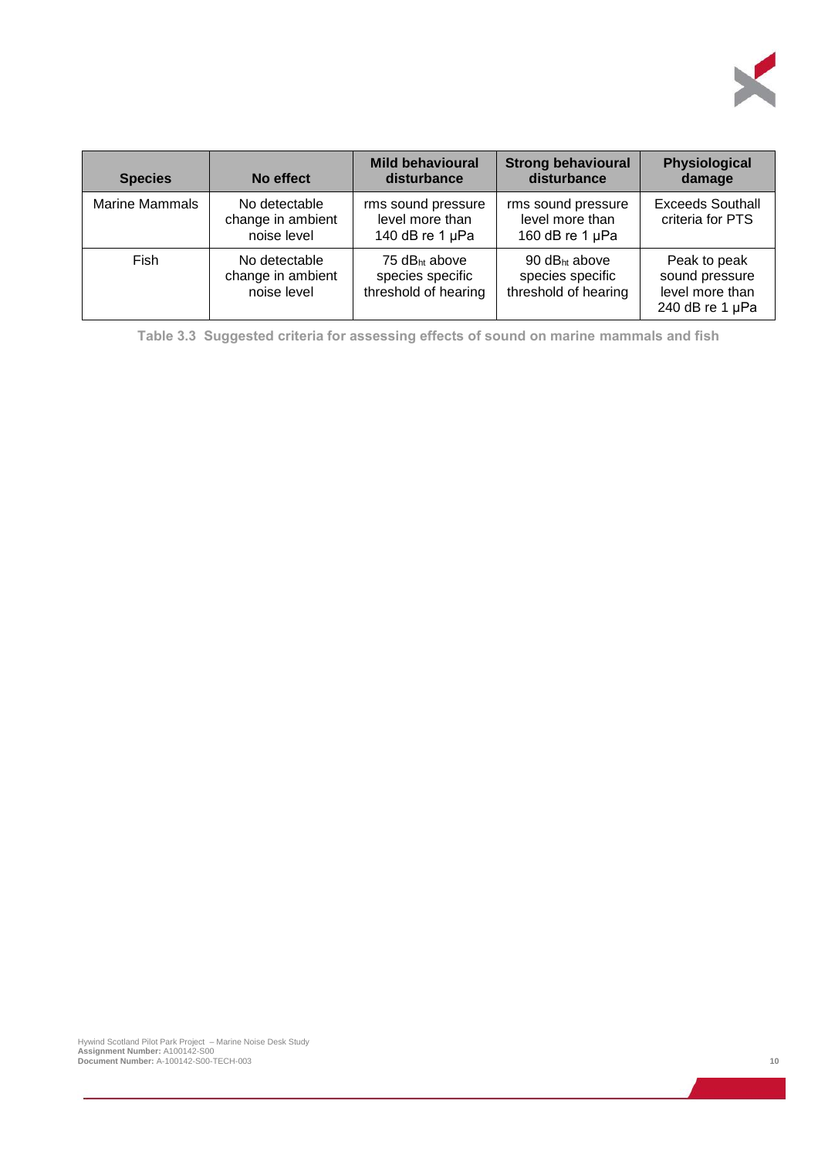

| <b>Species</b>        | No effect                                         | <b>Mild behavioural</b><br>disturbance                                | <b>Strong behavioural</b><br>disturbance                              | Physiological<br>damage                                              |
|-----------------------|---------------------------------------------------|-----------------------------------------------------------------------|-----------------------------------------------------------------------|----------------------------------------------------------------------|
| <b>Marine Mammals</b> | No detectable<br>change in ambient<br>noise level | rms sound pressure<br>level more than<br>140 dB re $1 \mu Pa$         | rms sound pressure<br>level more than<br>160 dB re $1 \mu Pa$         | <b>Exceeds Southall</b><br>criteria for PTS                          |
| Fish                  | No detectable<br>change in ambient<br>noise level | 75 dB <sub>ht</sub> above<br>species specific<br>threshold of hearing | 90 dB <sub>ht</sub> above<br>species specific<br>threshold of hearing | Peak to peak<br>sound pressure<br>level more than<br>240 dB re 1 µPa |

<span id="page-9-0"></span>**Table 3.3 Suggested criteria for assessing effects of sound on marine mammals and fish**

Hywind Scotland Pilot Park Project – Marine Noise Desk Study<br>**Assignment Number:** A100142-S00<br>**Document Number:** A-100142-S00-TECH-003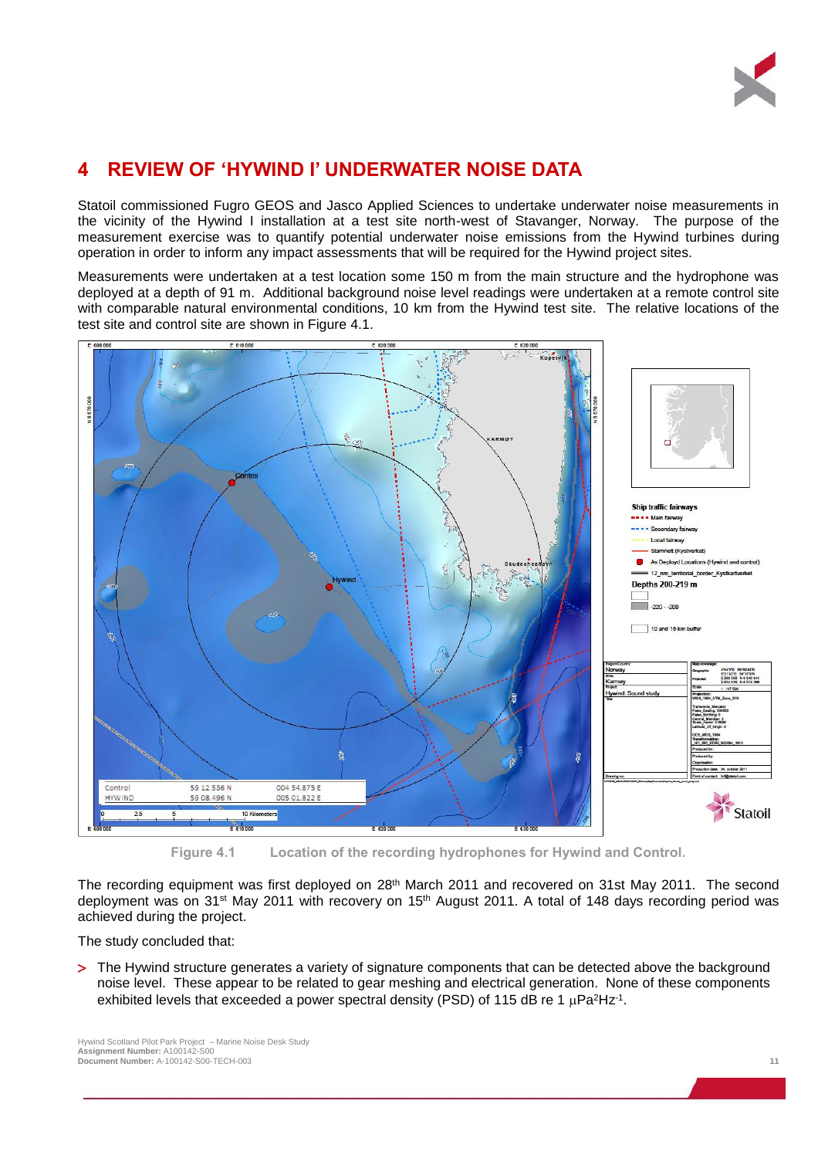

# **4 REVIEW OF 'HYWIND I' UNDERWATER NOISE DATA**

Statoil commissioned Fugro GEOS and Jasco Applied Sciences to undertake underwater noise measurements in the vicinity of the Hywind I installation at a test site north-west of Stavanger, Norway. The purpose of the measurement exercise was to quantify potential underwater noise emissions from the Hywind turbines during operation in order to inform any impact assessments that will be required for the Hywind project sites.

Measurements were undertaken at a test location some 150 m from the main structure and the hydrophone was deployed at a depth of 91 m. Additional background noise level readings were undertaken at a remote control site with comparable natural environmental conditions, 10 km from the Hywind test site. The relative locations of the test site and control site are shown in [Figure 4.1.](#page-10-0)



**Figure 4.1 Location of the recording hydrophones for Hywind and Control.**

<span id="page-10-0"></span>The recording equipment was first deployed on 28<sup>th</sup> March 2011 and recovered on 31st May 2011. The second deployment was on 31<sup>st</sup> May 2011 with recovery on 15<sup>th</sup> August 2011. A total of 148 days recording period was achieved during the project.

The study concluded that:

> The Hywind structure generates a variety of signature components that can be detected above the background noise level. These appear to be related to gear meshing and electrical generation. None of these components exhibited levels that exceeded a power spectral density (PSD) of 115 dB re 1  $\mu$ Pa<sup>2</sup>Hz<sup>-1</sup>.

Hywind Scotland Pilot Park Project – Marine Noise Desk Study **Assignment Number:** A100142-S00 **Document Number:** A-100142-S00-TECH-003 **11**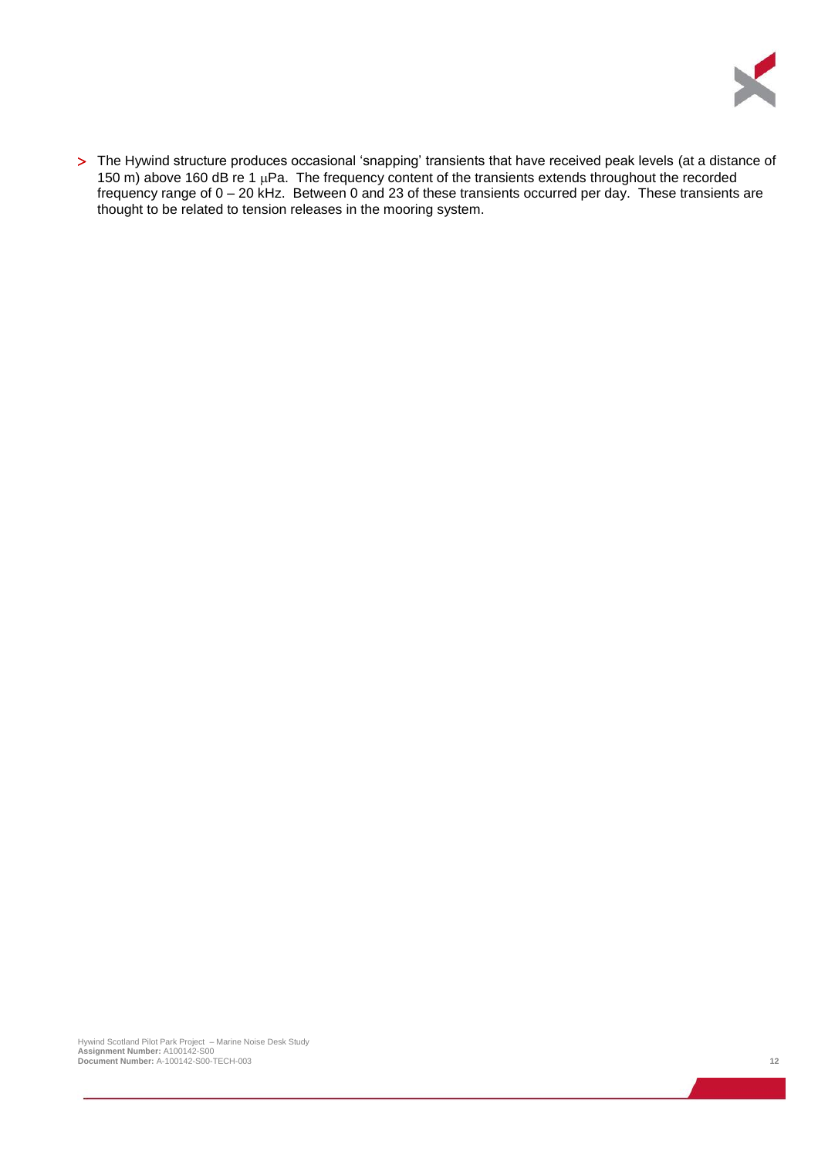

> The Hywind structure produces occasional 'snapping' transients that have received peak levels (at a distance of 150 m) above 160 dB re 1  $\mu$ Pa. The frequency content of the transients extends throughout the recorded frequency range of 0 – 20 kHz. Between 0 and 23 of these transients occurred per day. These transients are thought to be related to tension releases in the mooring system.

Hywind Scotland Pilot Park Project – Marine Noise Desk Study<br>**Assignment Number:** A100142-S00<br>**Document Number:** A-100142-S00-TECH-003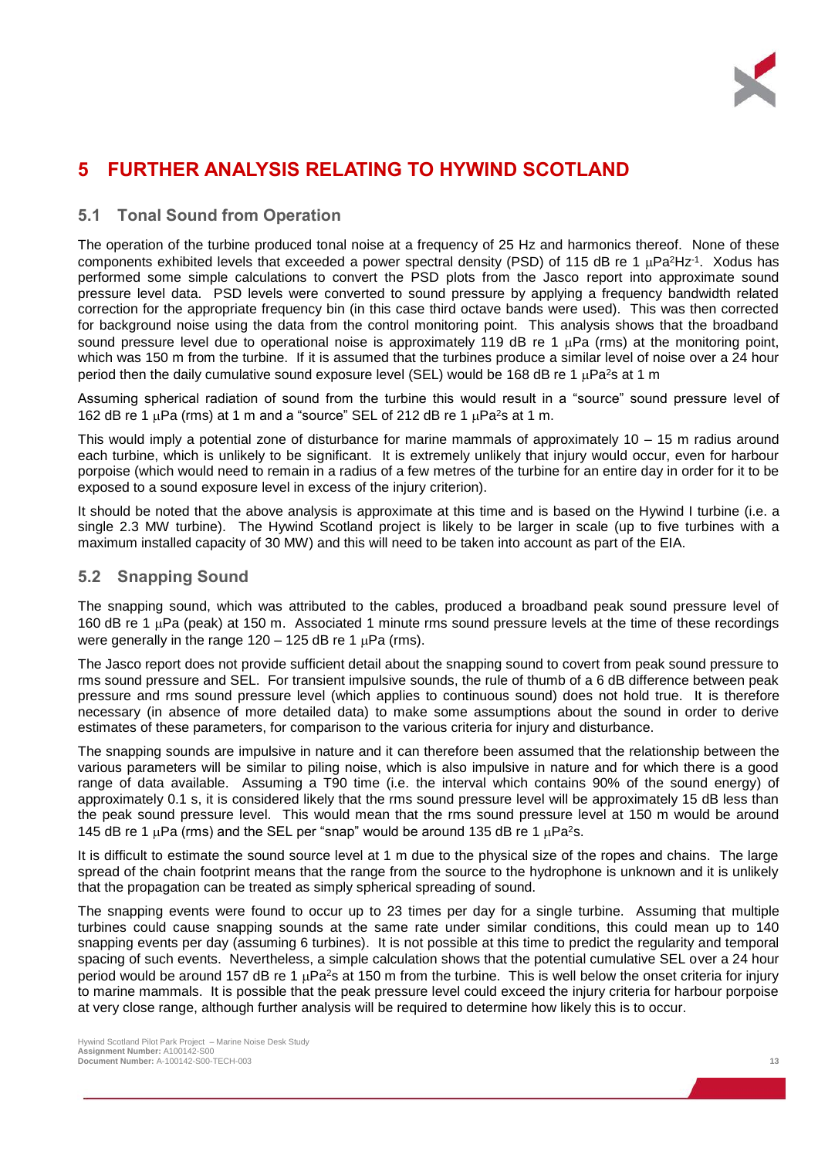

# **5 FURTHER ANALYSIS RELATING TO HYWIND SCOTLAND**

### **5.1 Tonal Sound from Operation**

The operation of the turbine produced tonal noise at a frequency of 25 Hz and harmonics thereof. None of these components exhibited levels that exceeded a power spectral density (PSD) of 115 dB re 1  $\mu$ Pa<sup>2</sup>Hz<sup>-1</sup>. Xodus has performed some simple calculations to convert the PSD plots from the Jasco report into approximate sound pressure level data. PSD levels were converted to sound pressure by applying a frequency bandwidth related correction for the appropriate frequency bin (in this case third octave bands were used). This was then corrected for background noise using the data from the control monitoring point. This analysis shows that the broadband sound pressure level due to operational noise is approximately 119 dB re 1  $\mu$ Pa (rms) at the monitoring point, which was 150 m from the turbine. If it is assumed that the turbines produce a similar level of noise over a 24 hour period then the daily cumulative sound exposure level (SEL) would be 168 dB re 1  $\mu$ Pa<sup>2</sup>s at 1 m

Assuming spherical radiation of sound from the turbine this would result in a "source" sound pressure level of 162 dB re 1  $\mu$ Pa (rms) at 1 m and a "source" SEL of 212 dB re 1  $\mu$ Pa<sup>2</sup>s at 1 m.

This would imply a potential zone of disturbance for marine mammals of approximately  $10 - 15$  m radius around each turbine, which is unlikely to be significant. It is extremely unlikely that injury would occur, even for harbour porpoise (which would need to remain in a radius of a few metres of the turbine for an entire day in order for it to be exposed to a sound exposure level in excess of the injury criterion).

It should be noted that the above analysis is approximate at this time and is based on the Hywind I turbine (i.e. a single 2.3 MW turbine). The Hywind Scotland project is likely to be larger in scale (up to five turbines with a maximum installed capacity of 30 MW) and this will need to be taken into account as part of the EIA.

#### **5.2 Snapping Sound**

The snapping sound, which was attributed to the cables, produced a broadband peak sound pressure level of 160 dB re 1  $\mu$ Pa (peak) at 150 m. Associated 1 minute rms sound pressure levels at the time of these recordings were generally in the range  $120 - 125$  dB re 1  $\mu$ Pa (rms).

The Jasco report does not provide sufficient detail about the snapping sound to covert from peak sound pressure to rms sound pressure and SEL. For transient impulsive sounds, the rule of thumb of a 6 dB difference between peak pressure and rms sound pressure level (which applies to continuous sound) does not hold true. It is therefore necessary (in absence of more detailed data) to make some assumptions about the sound in order to derive estimates of these parameters, for comparison to the various criteria for injury and disturbance.

The snapping sounds are impulsive in nature and it can therefore been assumed that the relationship between the various parameters will be similar to piling noise, which is also impulsive in nature and for which there is a good range of data available. Assuming a T90 time (i.e. the interval which contains 90% of the sound energy) of approximately 0.1 s, it is considered likely that the rms sound pressure level will be approximately 15 dB less than the peak sound pressure level. This would mean that the rms sound pressure level at 150 m would be around 145 dB re 1  $\mu$ Pa (rms) and the SEL per "snap" would be around 135 dB re 1  $\mu$ Pa<sup>2</sup>s.

It is difficult to estimate the sound source level at 1 m due to the physical size of the ropes and chains. The large spread of the chain footprint means that the range from the source to the hydrophone is unknown and it is unlikely that the propagation can be treated as simply spherical spreading of sound.

The snapping events were found to occur up to 23 times per day for a single turbine. Assuming that multiple turbines could cause snapping sounds at the same rate under similar conditions, this could mean up to 140 snapping events per day (assuming 6 turbines). It is not possible at this time to predict the regularity and temporal spacing of such events. Nevertheless, a simple calculation shows that the potential cumulative SEL over a 24 hour period would be around 157 dB re 1  $\mu$ Pa<sup>2</sup>s at 150 m from the turbine. This is well below the onset criteria for injury to marine mammals. It is possible that the peak pressure level could exceed the injury criteria for harbour porpoise at very close range, although further analysis will be required to determine how likely this is to occur.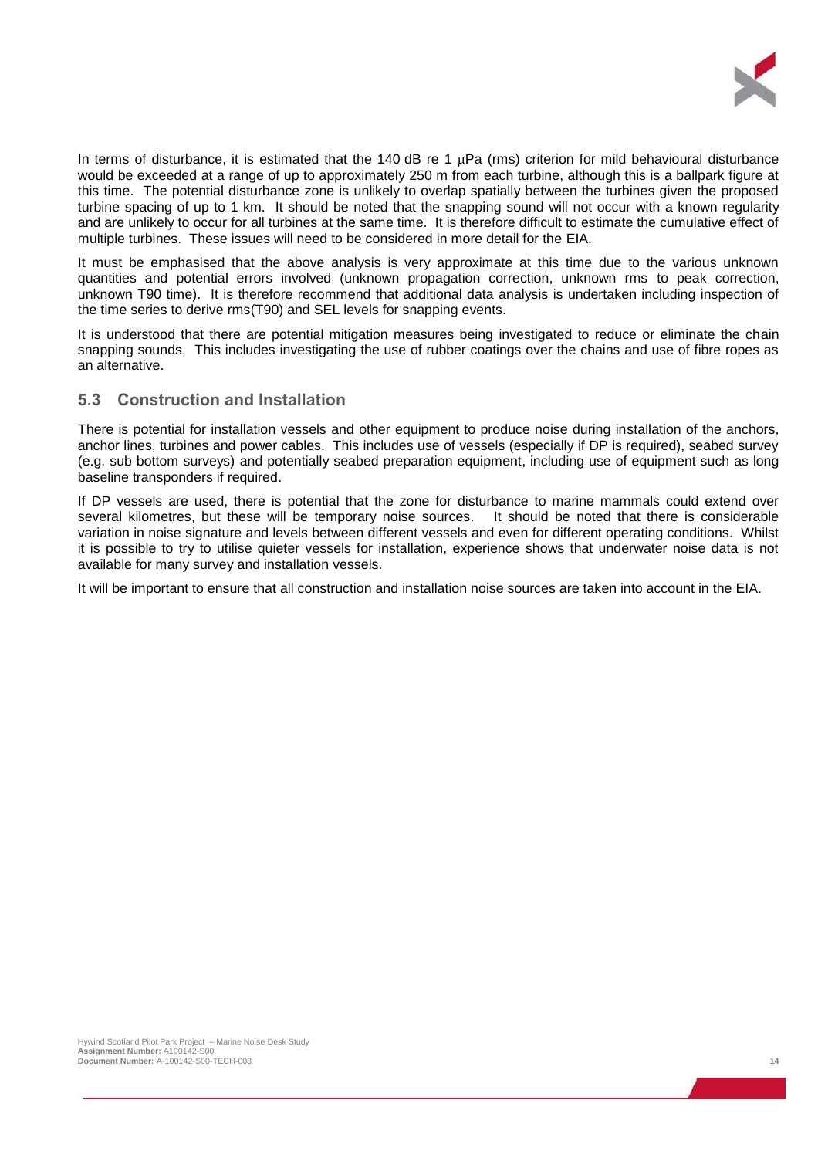

In terms of disturbance, it is estimated that the 140 dB re 1  $\mu$ Pa (rms) criterion for mild behavioural disturbance would be exceeded at a range of up to approximately 250 m from each turbine, although this is a ballpark figure at this time. The potential disturbance zone is unlikely to overlap spatially between the turbines given the proposed turbine spacing of up to 1 km. It should be noted that the snapping sound will not occur with a known regularity and are unlikely to occur for all turbines at the same time. It is therefore difficult to estimate the cumulative effect of multiple turbines. These issues will need to be considered in more detail for the EIA.

It must be emphasised that the above analysis is very approximate at this time due to the various unknown quantities and potential errors involved (unknown propagation correction, unknown rms to peak correction, unknown T90 time). It is therefore recommend that additional data analysis is undertaken including inspection of the time series to derive rms(T90) and SEL levels for snapping events.

It is understood that there are potential mitigation measures being investigated to reduce or eliminate the chain snapping sounds. This includes investigating the use of rubber coatings over the chains and use of fibre ropes as an alternative.

### **5.3 Construction and Installation**

There is potential for installation vessels and other equipment to produce noise during installation of the anchors, anchor lines, turbines and power cables. This includes use of vessels (especially if DP is required), seabed survey (e.g. sub bottom surveys) and potentially seabed preparation equipment, including use of equipment such as long baseline transponders if required.

If DP vessels are used, there is potential that the zone for disturbance to marine mammals could extend over several kilometres, but these will be temporary noise sources. It should be noted that there is considerable variation in noise signature and levels between different vessels and even for different operating conditions. Whilst it is possible to try to utilise quieter vessels for installation, experience shows that underwater noise data is not available for many survey and installation vessels.

It will be important to ensure that all construction and installation noise sources are taken into account in the EIA.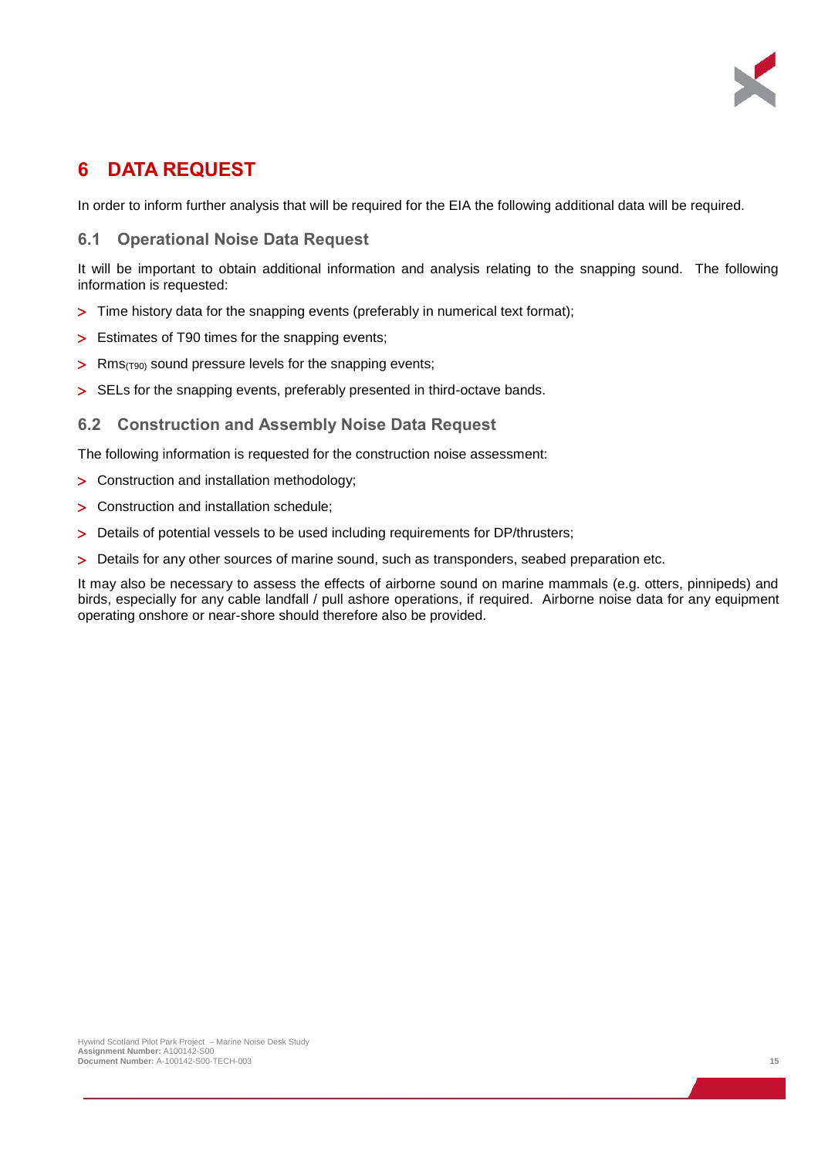

# **6 DATA REQUEST**

In order to inform further analysis that will be required for the EIA the following additional data will be required.

### **6.1 Operational Noise Data Request**

It will be important to obtain additional information and analysis relating to the snapping sound. The following information is requested:

- Time history data for the snapping events (preferably in numerical text format);
- > Estimates of T90 times for the snapping events;
- > Rms(T90) sound pressure levels for the snapping events;
- > SELs for the snapping events, preferably presented in third-octave bands.

### **6.2 Construction and Assembly Noise Data Request**

The following information is requested for the construction noise assessment:

- > Construction and installation methodology;
- Construction and installation schedule;
- > Details of potential vessels to be used including requirements for DP/thrusters;
- Details for any other sources of marine sound, such as transponders, seabed preparation etc.

It may also be necessary to assess the effects of airborne sound on marine mammals (e.g. otters, pinnipeds) and birds, especially for any cable landfall / pull ashore operations, if required. Airborne noise data for any equipment operating onshore or near-shore should therefore also be provided.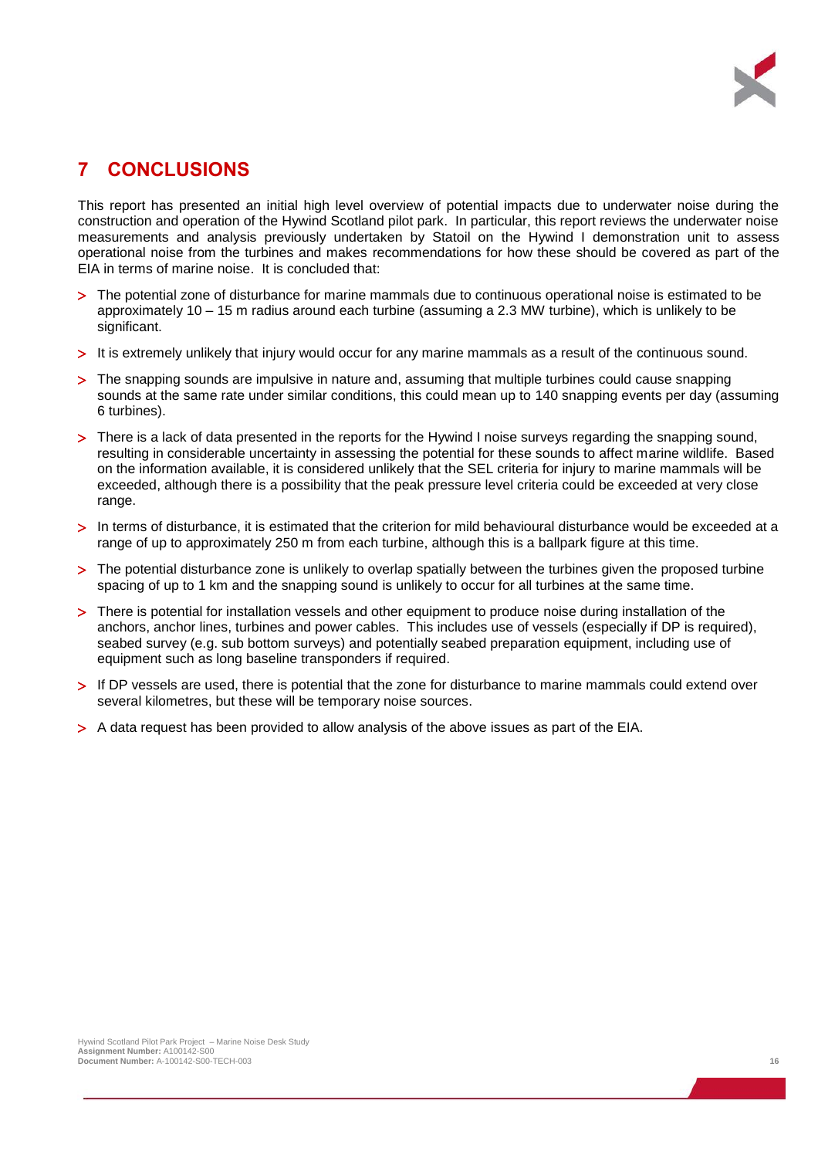

# **7 CONCLUSIONS**

This report has presented an initial high level overview of potential impacts due to underwater noise during the construction and operation of the Hywind Scotland pilot park. In particular, this report reviews the underwater noise measurements and analysis previously undertaken by Statoil on the Hywind I demonstration unit to assess operational noise from the turbines and makes recommendations for how these should be covered as part of the EIA in terms of marine noise. It is concluded that:

- > The potential zone of disturbance for marine mammals due to continuous operational noise is estimated to be approximately 10 – 15 m radius around each turbine (assuming a 2.3 MW turbine), which is unlikely to be significant.
- It is extremely unlikely that injury would occur for any marine mammals as a result of the continuous sound.
- The snapping sounds are impulsive in nature and, assuming that multiple turbines could cause snapping sounds at the same rate under similar conditions, this could mean up to 140 snapping events per day (assuming 6 turbines).
- > There is a lack of data presented in the reports for the Hywind I noise surveys regarding the snapping sound, resulting in considerable uncertainty in assessing the potential for these sounds to affect marine wildlife. Based on the information available, it is considered unlikely that the SEL criteria for injury to marine mammals will be exceeded, although there is a possibility that the peak pressure level criteria could be exceeded at very close range.
- > In terms of disturbance, it is estimated that the criterion for mild behavioural disturbance would be exceeded at a range of up to approximately 250 m from each turbine, although this is a ballpark figure at this time.
- > The potential disturbance zone is unlikely to overlap spatially between the turbines given the proposed turbine spacing of up to 1 km and the snapping sound is unlikely to occur for all turbines at the same time.
- There is potential for installation vessels and other equipment to produce noise during installation of the anchors, anchor lines, turbines and power cables. This includes use of vessels (especially if DP is required), seabed survey (e.g. sub bottom surveys) and potentially seabed preparation equipment, including use of equipment such as long baseline transponders if required.
- If DP vessels are used, there is potential that the zone for disturbance to marine mammals could extend over several kilometres, but these will be temporary noise sources.
- > A data request has been provided to allow analysis of the above issues as part of the EIA.